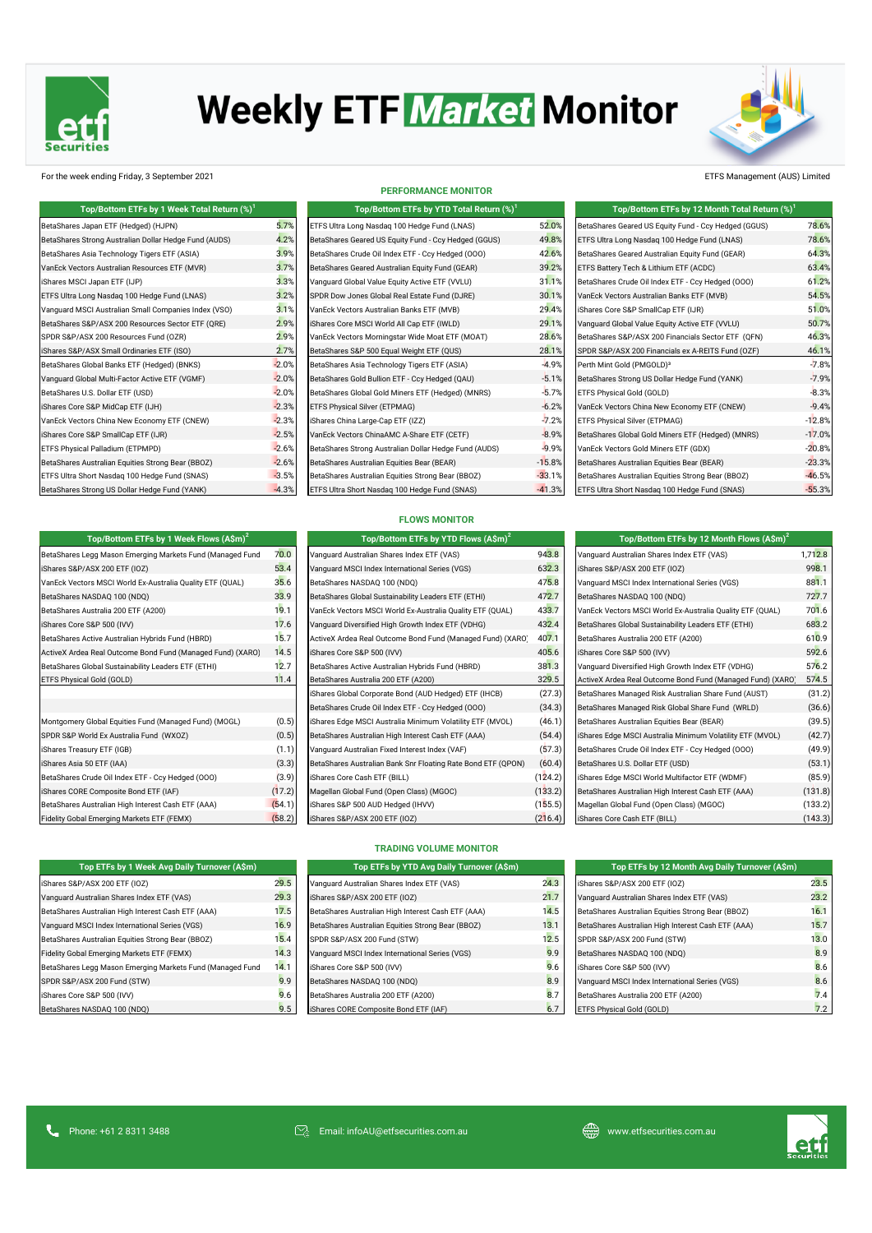

# **Weekly ETF Market Monitor**



### For the week ending Friday, 3 September 2021 ETFS Management (AUS) Limited

| Top/Bottom ETFs by 1 Week Total Return (%) <sup>1</sup> |         | Top/Bottom ETFs by YTD Total Return (%) <sup>1</sup>  |          | Top/Bottom ETFs by 12 Month Total Return $(\%)^1$    |          |  |
|---------------------------------------------------------|---------|-------------------------------------------------------|----------|------------------------------------------------------|----------|--|
| BetaShares Japan ETF (Hedged) (HJPN)                    | 5.7%    | ETFS Ultra Long Nasdaq 100 Hedge Fund (LNAS)          | 52.0%    | BetaShares Geared US Equity Fund - Ccy Hedged (GGUS) | 78.6%    |  |
| BetaShares Strong Australian Dollar Hedge Fund (AUDS)   | 4.2%    | BetaShares Geared US Equity Fund - Ccy Hedged (GGUS)  | 49.8%    | ETFS Ultra Long Nasdag 100 Hedge Fund (LNAS)         | 78.6%    |  |
| BetaShares Asia Technology Tigers ETF (ASIA)            | 3.9%    | BetaShares Crude Oil Index ETF - Ccy Hedged (000)     | 42.6%    | BetaShares Geared Australian Equity Fund (GEAR)      | 64.3%    |  |
| VanEck Vectors Australian Resources ETF (MVR)           | 3.7%    | BetaShares Geared Australian Equity Fund (GEAR)       | 39.2%    | ETFS Battery Tech & Lithium ETF (ACDC)               | 63.4%    |  |
| iShares MSCI Japan ETF (IJP)                            | 3.3%    | Vanquard Global Value Equity Active ETF (VVLU)        | 31.1%    | BetaShares Crude Oil Index ETF - Ccy Hedged (000)    | 61.2%    |  |
| ETFS Ultra Long Nasdaq 100 Hedge Fund (LNAS)            | 3.2%    | SPDR Dow Jones Global Real Estate Fund (DJRE)         | 30.1%    | VanEck Vectors Australian Banks ETF (MVB)            | 54.5%    |  |
| Vanguard MSCI Australian Small Companies Index (VSO)    | 3.1%    | VanEck Vectors Australian Banks ETF (MVB)             | 29.4%    | iShares Core S&P SmallCap ETF (IJR)                  | 51.0%    |  |
| BetaShares S&P/ASX 200 Resources Sector ETF (QRE)       | 2.9%    | iShares Core MSCI World All Cap ETF (IWLD)            | 29.1%    | Vanguard Global Value Equity Active ETF (VVLU)       | 50.7%    |  |
| SPDR S&P/ASX 200 Resources Fund (OZR)                   | 2.9%    | VanEck Vectors Morningstar Wide Moat ETF (MOAT)       | 28.6%    | BetaShares S&P/ASX 200 Financials Sector ETF (QFN)   | 46.3%    |  |
| iShares S&P/ASX Small Ordinaries ETF (ISO)              | 2.7%    | BetaShares S&P 500 Equal Weight ETF (QUS)             | 28.1%    | SPDR S&P/ASX 200 Financials ex A-REITS Fund (OZF)    | 46.1%    |  |
| BetaShares Global Banks ETF (Hedged) (BNKS)             | $-2.0%$ | BetaShares Asia Technology Tigers ETF (ASIA)          | $-4.9%$  | Perth Mint Gold (PMGOLD) <sup>3</sup>                | $-7.8%$  |  |
| Vanquard Global Multi-Factor Active ETF (VGMF)          | $-2.0%$ | BetaShares Gold Bullion ETF - Ccy Hedged (QAU)        | $-5.1%$  | BetaShares Strong US Dollar Hedge Fund (YANK)        | $-7.9%$  |  |
| BetaShares U.S. Dollar ETF (USD)                        | $-2.0%$ | BetaShares Global Gold Miners ETF (Hedged) (MNRS)     | $-5.7%$  | ETFS Physical Gold (GOLD)                            | $-8.3%$  |  |
| iShares Core S&P MidCap ETF (IJH)                       | $-2.3%$ | ETFS Physical Silver (ETPMAG)                         | $-6.2%$  | VanEck Vectors China New Economy ETF (CNEW)          | $-9.4%$  |  |
| VanEck Vectors China New Economy ETF (CNEW)             | $-2.3%$ | iShares China Large-Cap ETF (IZZ)                     | $-7.2%$  | ETFS Physical Silver (ETPMAG)                        | $-12.8%$ |  |
| iShares Core S&P SmallCap ETF (IJR)                     | $-2.5%$ | VanEck Vectors ChinaAMC A-Share ETF (CETF)            | $-8.9%$  | BetaShares Global Gold Miners ETF (Hedged) (MNRS)    | $-17.0%$ |  |
| ETFS Physical Palladium (ETPMPD)                        | $-2.6%$ | BetaShares Strong Australian Dollar Hedge Fund (AUDS) | $-9.9%$  | VanEck Vectors Gold Miners ETF (GDX)                 | $-20.8%$ |  |
| BetaShares Australian Equities Strong Bear (BBOZ)       | $-2.6%$ | BetaShares Australian Equities Bear (BEAR)            | $-15.8%$ | BetaShares Australian Equities Bear (BEAR)           | $-23.3%$ |  |
| ETFS Ultra Short Nasdag 100 Hedge Fund (SNAS)           | $-3.5%$ | BetaShares Australian Equities Strong Bear (BBOZ)     | $-33.1%$ | BetaShares Australian Equities Strong Bear (BBOZ)    | $-46.5%$ |  |
| BetaShares Strong US Dollar Hedge Fund (YANK)           | $-4.3%$ | ETFS Ultra Short Nasdag 100 Hedge Fund (SNAS)         | $-41.3%$ | ETFS Ultra Short Nasdaq 100 Hedge Fund (SNAS)        | $-55.3%$ |  |

**Top/Bottom ETFs by 1 Week Flows (A\$m)<sup>2</sup>**

### **PERFORMANCE MONITOR**

| Top/Bottom ETFs by YTD Total Return (%)               |                  |
|-------------------------------------------------------|------------------|
| ETFS Ultra Long Nasdag 100 Hedge Fund (LNAS)          | 52.              |
| BetaShares Geared US Equity Fund - Ccy Hedged (GGUS)  | 49.              |
| BetaShares Crude Oil Index ETF - Ccy Hedged (000)     | 42.              |
| BetaShares Geared Australian Equity Fund (GEAR)       | 39.              |
| Vanquard Global Value Equity Active ETF (VVLU)        | 31.              |
| SPDR Dow Jones Global Real Estate Fund (DJRE)         | 30.              |
| VanEck Vectors Australian Banks ETF (MVB)             | 29.              |
| iShares Core MSCI World All Cap ETF (IWLD)            | 29.              |
| VanEck Vectors Morningstar Wide Moat ETF (MOAT)       | 28.              |
| BetaShares S&P 500 Equal Weight ETF (QUS)             | 28.              |
| BetaShares Asia Technology Tigers ETF (ASIA)          | $-4.$            |
| BetaShares Gold Bullion ETF - Ccy Hedged (QAU)        | -5.              |
| BetaShares Global Gold Miners ETF (Hedged) (MNRS)     | -5.              |
| ETFS Physical Silver (ETPMAG)                         | $-6.$            |
| iShares China Large-Cap ETF (IZZ)                     | $\overline{7}$ . |
| VanEck Vectors ChinaAMC A-Share ETF (CETF)            | $-8$             |
| BetaShares Strong Australian Dollar Hedge Fund (AUDS) | $-9$             |
| BetaShares Australian Equities Bear (BEAR)            | $-15.$           |
| BetaShares Australian Equities Strong Bear (BBOZ)     | $-33.$           |
| ETFS Ultra Short Nasdag 100 Hedge Fund (SNAS)         | $-41.$           |
|                                                       |                  |

| Top/Bottom ETFs by 1 Week Total Return (%) <sup>1</sup> |         | Top/Bottom ETFs by YTD Total Return (%) <sup>1</sup>  |          | Top/Bottom ETFs by 12 Month Total Return (%) <sup>1</sup> |          |
|---------------------------------------------------------|---------|-------------------------------------------------------|----------|-----------------------------------------------------------|----------|
| BetaShares Japan ETF (Hedged) (HJPN)                    | 5.7%    | ETFS Ultra Long Nasdaq 100 Hedge Fund (LNAS)          | 52.0%    | BetaShares Geared US Equity Fund - Ccy Hedged (GGUS)      | 78.6%    |
| BetaShares Strong Australian Dollar Hedge Fund (AUDS)   | 4.2%    | BetaShares Geared US Equity Fund - Ccy Hedged (GGUS)  | 49.8%    | ETFS Ultra Long Nasdaq 100 Hedge Fund (LNAS)              | 78.6%    |
| BetaShares Asia Technology Tigers ETF (ASIA)            | 3.9%    | BetaShares Crude Oil Index ETF - Ccy Hedged (000)     | 42.6%    | BetaShares Geared Australian Equity Fund (GEAR)           | 64.3%    |
| VanEck Vectors Australian Resources ETF (MVR)           | 3.7%    | BetaShares Geared Australian Equity Fund (GEAR)       | 39.2%    | ETFS Battery Tech & Lithium ETF (ACDC)                    | 63.4%    |
| iShares MSCI Japan ETF (IJP)                            | 3.3%    | Vanguard Global Value Equity Active ETF (VVLU)        | 31.1%    | BetaShares Crude Oil Index ETF - Ccy Hedged (000)         | 61.2%    |
| ETFS Ultra Long Nasdaq 100 Hedge Fund (LNAS)            | 3.2%    | SPDR Dow Jones Global Real Estate Fund (DJRE)         | 30.1%    | VanEck Vectors Australian Banks ETF (MVB)                 | 54.5%    |
| Vanguard MSCI Australian Small Companies Index (VSO)    | 3.1%    | VanEck Vectors Australian Banks ETF (MVB)             | 29.4%    | iShares Core S&P SmallCap ETF (IJR)                       | 51.0%    |
| BetaShares S&P/ASX 200 Resources Sector ETF (QRE)       | 2.9%    | iShares Core MSCI World All Cap ETF (IWLD)            | 29.1%    | Vanguard Global Value Equity Active ETF (VVLU)            | 50.7%    |
| SPDR S&P/ASX 200 Resources Fund (OZR)                   | 2.9%    | VanEck Vectors Morningstar Wide Moat ETF (MOAT)       | 28.6%    | BetaShares S&P/ASX 200 Financials Sector ETF (QFN)        | 46.3%    |
| iShares S&P/ASX Small Ordinaries ETF (ISO)              | 2.7%    | BetaShares S&P 500 Equal Weight ETF (QUS)             | 28.1%    | SPDR S&P/ASX 200 Financials ex A-REITS Fund (OZF)         | 46.1%    |
| BetaShares Global Banks ETF (Hedged) (BNKS)             | $-2.0%$ | BetaShares Asia Technology Tigers ETF (ASIA)          | $-4.9%$  | Perth Mint Gold (PMGOLD) <sup>3</sup>                     | $-7.8%$  |
| Vanquard Global Multi-Factor Active ETF (VGMF)          | $-2.0%$ | BetaShares Gold Bullion ETF - Ccy Hedged (QAU)        | $-5.1%$  | BetaShares Strong US Dollar Hedge Fund (YANK)             | $-7.9%$  |
| BetaShares U.S. Dollar ETF (USD)                        | $-2.0%$ | BetaShares Global Gold Miners ETF (Hedged) (MNRS)     | $-5.7%$  | ETFS Physical Gold (GOLD)                                 | $-8.3%$  |
| iShares Core S&P MidCap ETF (IJH)                       | $-2.3%$ | ETFS Physical Silver (ETPMAG)                         | $-6.2%$  | VanEck Vectors China New Economy ETF (CNEW)               | $-9.4%$  |
| VanEck Vectors China New Economy ETF (CNEW)             | $-2.3%$ | iShares China Large-Cap ETF (IZZ)                     | $-7.2%$  | ETFS Physical Silver (ETPMAG)                             | $-12.8%$ |
| iShares Core S&P SmallCap ETF (IJR)                     | $-2.5%$ | VanEck Vectors ChinaAMC A-Share ETF (CETF)            | $-8.9%$  | BetaShares Global Gold Miners ETF (Hedged) (MNRS)         | $-17.0%$ |
| ETFS Physical Palladium (ETPMPD)                        | $-2.6%$ | BetaShares Strong Australian Dollar Hedge Fund (AUDS) | $-9.9%$  | VanEck Vectors Gold Miners ETF (GDX)                      | $-20.8%$ |
| BetaShares Australian Equities Strong Bear (BBOZ)       | $-2.6%$ | BetaShares Australian Equities Bear (BEAR)            | $-15.8%$ | BetaShares Australian Equities Bear (BEAR)                | $-23.3%$ |
| ETFS Ultra Short Nasdag 100 Hedge Fund (SNAS)           | $-3.5%$ | BetaShares Australian Equities Strong Bear (BBOZ)     | $-33.1%$ | BetaShares Australian Equities Strong Bear (BBOZ)         | $-46.5%$ |
| BetaShares Strong LIS Dollar Hedge Fund (YANK)          | $-4.3%$ | <b>ETES Ultra Short Nasdag 100 Hedge Fund (SNAS)</b>  | $-41.3%$ | FTES Ultra Short Nasdag 100 Hedge Fund (SNAS)             | $-55.3%$ |

| <b>FLOWS MONITOR</b> |  |
|----------------------|--|
|                      |  |

| Top/Bottom ETFs by 1 Week Flows $(A\sin^2)$                |        | Top/Bottom ETFs by YTD Flows $(A\sin^2)$                     |         | Top/Bottom ETFs by 12 Month Flows $(A\sin)^2$              |         |  |  |
|------------------------------------------------------------|--------|--------------------------------------------------------------|---------|------------------------------------------------------------|---------|--|--|
| BetaShares Legg Mason Emerging Markets Fund (Managed Fund  | 70.0   | Vanguard Australian Shares Index ETF (VAS)                   | 943.8   | Vanguard Australian Shares Index ETF (VAS)                 | 1,712.8 |  |  |
| iShares S&P/ASX 200 ETF (IOZ)                              | 53.4   | Vanguard MSCI Index International Series (VGS)               | 632.3   | iShares S&P/ASX 200 ETF (IOZ)                              | 998.1   |  |  |
| VanEck Vectors MSCI World Ex-Australia Quality ETF (QUAL)  | 35.6   | BetaShares NASDAQ 100 (NDQ)                                  | 475.8   | Vanquard MSCI Index International Series (VGS)             | 881.1   |  |  |
| BetaShares NASDAQ 100 (NDQ)                                | 33.9   | BetaShares Global Sustainability Leaders ETF (ETHI)          | 472.7   | BetaShares NASDAQ 100 (NDQ)                                | 727.7   |  |  |
| BetaShares Australia 200 ETF (A200)                        | 19.1   | VanEck Vectors MSCI World Ex-Australia Quality ETF (QUAL)    | 433.7   | VanEck Vectors MSCI World Ex-Australia Quality ETF (QUAL)  | 701.6   |  |  |
| iShares Core S&P 500 (IVV)                                 | 17.6   | Vanguard Diversified High Growth Index ETF (VDHG)            | 432.4   | BetaShares Global Sustainability Leaders ETF (ETHI)        | 683.2   |  |  |
| BetaShares Active Australian Hybrids Fund (HBRD)           | 15.7   | ActiveX Ardea Real Outcome Bond Fund (Managed Fund) (XARO)   | 407.1   | BetaShares Australia 200 ETF (A200)                        | 610.9   |  |  |
| ActiveX Ardea Real Outcome Bond Fund (Managed Fund) (XARO) | 14.5   | iShares Core S&P 500 (IVV)                                   | 405.6   | iShares Core S&P 500 (IVV)                                 | 592.6   |  |  |
| BetaShares Global Sustainability Leaders ETF (ETHI)        | 12.7   | BetaShares Active Australian Hybrids Fund (HBRD)             | 381.3   | Vanquard Diversified High Growth Index ETF (VDHG)          | 576.2   |  |  |
| ETFS Physical Gold (GOLD)                                  | 11.4   | BetaShares Australia 200 ETF (A200)                          | 329.5   | ActiveX Ardea Real Outcome Bond Fund (Managed Fund) (XARO) | 574.5   |  |  |
|                                                            |        | iShares Global Corporate Bond (AUD Hedged) ETF (IHCB)        | (27.3)  | BetaShares Managed Risk Australian Share Fund (AUST)       | (31.2)  |  |  |
|                                                            |        | BetaShares Crude Oil Index ETF - Ccy Hedged (000)            | (34.3)  | BetaShares Managed Risk Global Share Fund (WRLD)           | (36.6)  |  |  |
| Montgomery Global Equities Fund (Managed Fund) (MOGL)      | (0.5)  | iShares Edge MSCI Australia Minimum Volatility ETF (MVOL)    | (46.1)  | BetaShares Australian Equities Bear (BEAR)                 | (39.5)  |  |  |
| SPDR S&P World Ex Australia Fund (WXOZ)                    | (0.5)  | BetaShares Australian High Interest Cash ETF (AAA)           | (54.4)  | iShares Edge MSCI Australia Minimum Volatility ETF (MVOL)  | (42.7)  |  |  |
| iShares Treasury ETF (IGB)                                 | (1.1)  | Vanquard Australian Fixed Interest Index (VAF)               | (57.3)  | BetaShares Crude Oil Index ETF - Ccy Hedged (000)          | (49.9)  |  |  |
| iShares Asia 50 ETF (IAA)                                  | (3.3)  | BetaShares Australian Bank Snr Floating Rate Bond ETF (QPON) | (60.4)  | BetaShares U.S. Dollar ETF (USD)                           | (53.1)  |  |  |
| BetaShares Crude Oil Index ETF - Ccy Hedged (OOO)          | (3.9)  | iShares Core Cash ETF (BILL)                                 | (124.2) | iShares Edge MSCI World Multifactor ETF (WDMF)             | (85.9)  |  |  |
| iShares CORE Composite Bond ETF (IAF)                      | (17.2) | Magellan Global Fund (Open Class) (MGOC)                     | (133.2) | BetaShares Australian High Interest Cash ETF (AAA)         | (131.8) |  |  |
| BetaShares Australian High Interest Cash ETF (AAA)         | (54.1) | iShares S&P 500 AUD Hedged (IHVV)                            | (155.5) | Magellan Global Fund (Open Class) (MGOC)                   | (133.2) |  |  |
| Fidelity Gobal Emerging Markets ETF (FEMX)                 | (58.2) | IShares S&P/ASX 200 ETF (IOZ)                                | (216.4) | iShares Core Cash ETF (BILL)                               | (143.3) |  |  |

| Top/Bottom ETFs by YTD Flows $(A\sin)^2$                     |         | Top/Bottom ETFs by 12 Month Flows $(A\sin)^2$              |         |
|--------------------------------------------------------------|---------|------------------------------------------------------------|---------|
| Vanguard Australian Shares Index ETF (VAS)                   | 943.8   | Vanguard Australian Shares Index ETF (VAS)                 | 1,712.8 |
| Vanquard MSCI Index International Series (VGS)               | 632.3   | iShares S&P/ASX 200 ETF (IOZ)                              | 998.1   |
| BetaShares NASDAQ 100 (NDQ)                                  | 475.8   | Vanquard MSCI Index International Series (VGS)             | 881.1   |
| BetaShares Global Sustainability Leaders ETF (ETHI)          | 472.7   | BetaShares NASDAQ 100 (NDQ)                                | 727.7   |
| VanEck Vectors MSCI World Ex-Australia Quality ETF (QUAL)    | 433.7   | VanEck Vectors MSCI World Ex-Australia Quality ETF (QUAL)  | 701.6   |
| Vanquard Diversified High Growth Index ETF (VDHG)            | 432.4   | BetaShares Global Sustainability Leaders ETF (ETHI)        | 683.2   |
| ActiveX Ardea Real Outcome Bond Fund (Managed Fund) (XARO)   | 407.1   | BetaShares Australia 200 ETF (A200)                        | 610.9   |
| iShares Core S&P 500 (IVV)                                   | 405.6   | iShares Core S&P 500 (IVV)                                 | 592.6   |
| BetaShares Active Australian Hybrids Fund (HBRD)             | 381.3   | Vanquard Diversified High Growth Index ETF (VDHG)          | 576.2   |
| BetaShares Australia 200 ETF (A200)                          | 329.5   | ActiveX Ardea Real Outcome Bond Fund (Managed Fund) (XARO) | 574.5   |
| iShares Global Corporate Bond (AUD Hedged) ETF (IHCB)        | (27.3)  | BetaShares Managed Risk Australian Share Fund (AUST)       | (31.2)  |
| BetaShares Crude Oil Index ETF - Ccy Hedged (000)            | (34.3)  | BetaShares Managed Risk Global Share Fund (WRLD)           | (36.6)  |
| iShares Edge MSCI Australia Minimum Volatility ETF (MVOL)    | (46.1)  | BetaShares Australian Equities Bear (BEAR)                 | (39.5)  |
| BetaShares Australian High Interest Cash ETF (AAA)           | (54.4)  | iShares Edge MSCI Australia Minimum Volatility ETF (MVOL)  | (42.7)  |
| Vanguard Australian Fixed Interest Index (VAF)               | (57.3)  | BetaShares Crude Oil Index ETF - Ccy Hedged (000)          | (49.9)  |
| BetaShares Australian Bank Snr Floating Rate Bond ETF (QPON) | (60.4)  | BetaShares U.S. Dollar ETF (USD)                           | (53.1)  |
| iShares Core Cash ETF (BILL)                                 | (124.2) | iShares Edge MSCI World Multifactor ETF (WDMF)             | (85.9)  |
| Magellan Global Fund (Open Class) (MGOC)                     | (133.2) | BetaShares Australian High Interest Cash ETF (AAA)         | (131.8) |
| iShares S&P 500 AUD Hedged (IHVV)                            | (155.5) | Magellan Global Fund (Open Class) (MGOC)                   | (133.2) |
| iShares S&P/ASX 200 FTF (IOZ)                                | (216.4) | iShares Core Cash FTF (BILL)                               | (143.3) |

| Top ETFs by 1 Week Avg Daily Turnover (A\$m)              |      |
|-----------------------------------------------------------|------|
| iShares S&P/ASX 200 ETF (IOZ)                             | 29.5 |
| Vanquard Australian Shares Index ETF (VAS)                | 29.3 |
| BetaShares Australian High Interest Cash ETF (AAA)        | 17.5 |
| Vanquard MSCI Index International Series (VGS)            | 16.9 |
| BetaShares Australian Equities Strong Bear (BBOZ)         | 15.4 |
| Fidelity Gobal Emerging Markets ETF (FEMX)                | 14.3 |
| BetaShares Legg Mason Emerging Markets Fund (Managed Fund | 14.1 |
| SPDR S&P/ASX 200 Fund (STW)                               | 9.9  |
| iShares Core S&P 500 (IVV)                                | 9.6  |
| BetaShares NASDAQ 100 (NDQ)                               | 9.5  |

### **TRADING VOLUME MONITOR**

| Top ETFs by 1 Week Avg Daily Turnover (A\$m)   |      | Top ETFs by YTD Avg Daily Turnover (A\$m)          |      | Top ETFs by 12 Month Avg Daily Turnover (A\$m)     |
|------------------------------------------------|------|----------------------------------------------------|------|----------------------------------------------------|
| P/ASX 200 ETF (IOZ)                            | 29.5 | Vanquard Australian Shares Index ETF (VAS)         | 24.3 | iShares S&P/ASX 200 ETF (IOZ)                      |
| ustralian Shares Index ETF (VAS)               | 29.3 | iShares S&P/ASX 200 ETF (IOZ)                      | 21.7 | Vanquard Australian Shares Index ETF (VAS)         |
| Australian High Interest Cash ETF (AAA)        | 17.5 | BetaShares Australian High Interest Cash ETF (AAA) | 14.5 | BetaShares Australian Equities Strong Bear (BBOZ)  |
| <b>ASCI Index International Series (VGS)</b>   | 16.9 | BetaShares Australian Equities Strong Bear (BBOZ)  | 13.1 | BetaShares Australian High Interest Cash ETF (AAA) |
| Australian Equities Strong Bear (BBOZ)         | 15.4 | SPDR S&P/ASX 200 Fund (STW)                        | 12.5 | SPDR S&P/ASX 200 Fund (STW)                        |
| al Emerging Markets ETF (FEMX)                 | 14.3 | Vanquard MSCI Index International Series (VGS)     | 9.9  | BetaShares NASDAQ 100 (NDQ)                        |
| Legg Mason Emerging Markets Fund (Managed Fund | 14.1 | iShares Core S&P 500 (IVV)                         | 9.6  | iShares Core S&P 500 (IVV)                         |
| ASX 200 Fund (STW)                             | 9.9  | BetaShares NASDAQ 100 (NDQ)                        | 8.9  | Vanguard MSCI Index International Series (VGS)     |
| e S&P 500 (IVV)                                | 9.6  | BetaShares Australia 200 ETF (A200)                | 8.7  | BetaShares Australia 200 ETF (A200)                |
| NASDAQ 100 (NDQ)                               | 9.5  | iShares CORE Composite Bond ETF (IAF)              |      | <b>ETFS Physical Gold (GOLD)</b>                   |

| Top ETFs by 1 Week Avg Daily Turnover (ASm)               |      | Top ETFs by YTD Avg Daily Turnover (ASm)           |      | Top ETFs by 12 Month Avg Daily Turnover (ASm)<br>23.5 |      |  |
|-----------------------------------------------------------|------|----------------------------------------------------|------|-------------------------------------------------------|------|--|
| iShares S&P/ASX 200 ETF (IOZ)                             | 29.5 | Vanguard Australian Shares Index ETF (VAS)         | 24.3 | iShares S&P/ASX 200 ETF (IOZ)                         |      |  |
| Vanquard Australian Shares Index ETF (VAS)                | 29.3 | iShares S&P/ASX 200 ETF (IOZ)                      | 21.7 | Vanquard Australian Shares Index ETF (VAS)            | 23.2 |  |
| BetaShares Australian High Interest Cash ETF (AAA)        | 17.5 | BetaShares Australian High Interest Cash ETF (AAA) | 14.5 | BetaShares Australian Equities Strong Bear (BBOZ)     | 16.1 |  |
| Vanquard MSCI Index International Series (VGS)            | 16.9 | BetaShares Australian Equities Strong Bear (BBOZ)  | 13.1 | BetaShares Australian High Interest Cash ETF (AAA)    | 15.7 |  |
| BetaShares Australian Equities Strong Bear (BBOZ)         | 15.4 | SPDR S&P/ASX 200 Fund (STW)                        | 12.5 | SPDR S&P/ASX 200 Fund (STW)                           | 13.0 |  |
| Fidelity Gobal Emerging Markets ETF (FEMX)                | 14.3 | Vanquard MSCI Index International Series (VGS)     | 9.9  | BetaShares NASDAQ 100 (NDQ)                           | 8.9  |  |
| BetaShares Legg Mason Emerging Markets Fund (Managed Fund | 14.1 | iShares Core S&P 500 (IVV)                         | 9.6  | iShares Core S&P 500 (IVV)                            | 8.6  |  |
| SPDR S&P/ASX 200 Fund (STW)                               | 9.9  | BetaShares NASDAQ 100 (NDQ)                        | 8.9  | Vanquard MSCI Index International Series (VGS)        | 8.6  |  |
| iShares Core S&P 500 (IVV)                                | 9.6  | BetaShares Australia 200 ETF (A200)                | 8.7  | BetaShares Australia 200 ETF (A200)                   | 7.4  |  |
| BetaShares NASDAQ 100 (NDQ)                               | 9.5  | iShares CORE Composite Bond ETF (IAF)              | 6.7  | ETFS Physical Gold (GOLD)                             | 7.2  |  |